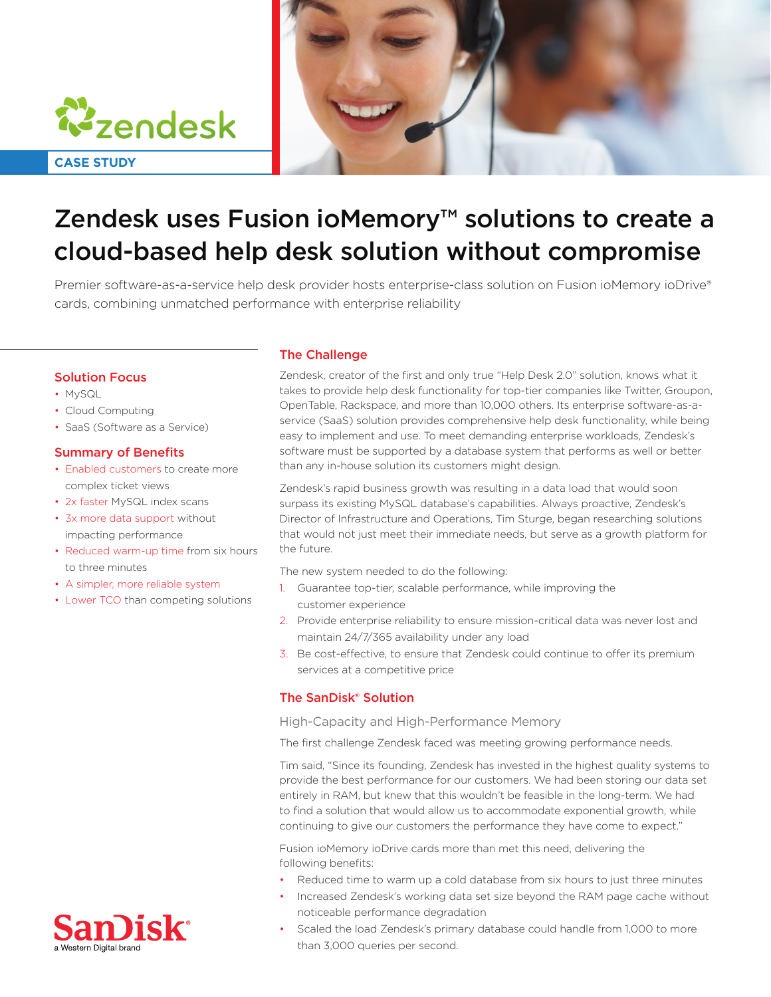



# Zendesk uses Fusion ioMemory<sup>™</sup> solutions to create a cloud-based help desk solution without compromise

Premier software-as-a-service help desk provider hosts enterprise-class solution on Fusion ioMemory ioDrive® cards, combining unmatched performance with enterprise reliability

## **Solution Focus**

- MySQL
- Cloud Computing
- SaaS (Software as a Service)

### **Summary of Benefits**

- Enabled customers to create more complex ticket views
- 2x faster MySQL index scans
- 3x more data support without impacting performance
- Reduced warm-up time from six hours to three minutes
- A simpler, more reliable system
- Lower TCO than competing solutions

### **The Challenge**

Zendesk, creator of the first and only true "Help Desk 2.0" solution, knows what it takes to provide help desk functionality for top-tier companies like Twitter, Groupon, service (SaaS) solution provides comprehensive help desk functionality, while being OpenTable, Rackspace, and more than 10,000 others. Its enterprise software-as-aeasy to implement and use. To meet demanding enterprise workloads, Zendesk's software must be supported by a database system that performs as well or better than any in-house solution its customers might design.

Zendesk's rapid business growth was resulting in a data load that would soon surpass its existing MySQL database's capabilities. Always proactive, Zendesk's Director of Infrastructure and Operations, Tim Sturge, began researching solutions that would not just meet their immediate needs, but serve as a growth platform for the future.

The new system needed to do the following:

- 1. Guarantee top-tier, scalable performance, while improving the customer experience
- 2. Provide enterprise reliability to ensure mission-critical data was never lost and maintain 24/7/365 availability under any load
- 3. Be cost-effective, to ensure that Zendesk could continue to offer its premium services at a competitive price

## The SanDisk<sup>®</sup> Solution

High-Capacity and High-Performance Memory

The first challenge Zendesk faced was meeting growing performance needs.

Tim said, "Since its founding, Zendesk has invested in the highest quality systems to provide the best performance for our customers. We had been storing our data set entirely in RAM, but knew that this wouldn't be feasible in the long-term. We had to find a solution that would allow us to accommodate exponential growth, while continuing to give our customers the performance they have come to expect."

Fusion ioMemory ioDrive cards more than met this need, delivering the following benefits:

- Reduced time to warm up a cold database from six hours to just three minutes
- Increased Zendesk's working data set size beyond the RAM page cache without noticeable performance degradation
- Scaled the load Zendesk's primary database could handle from 1,000 to more than 3,000 queries per second.

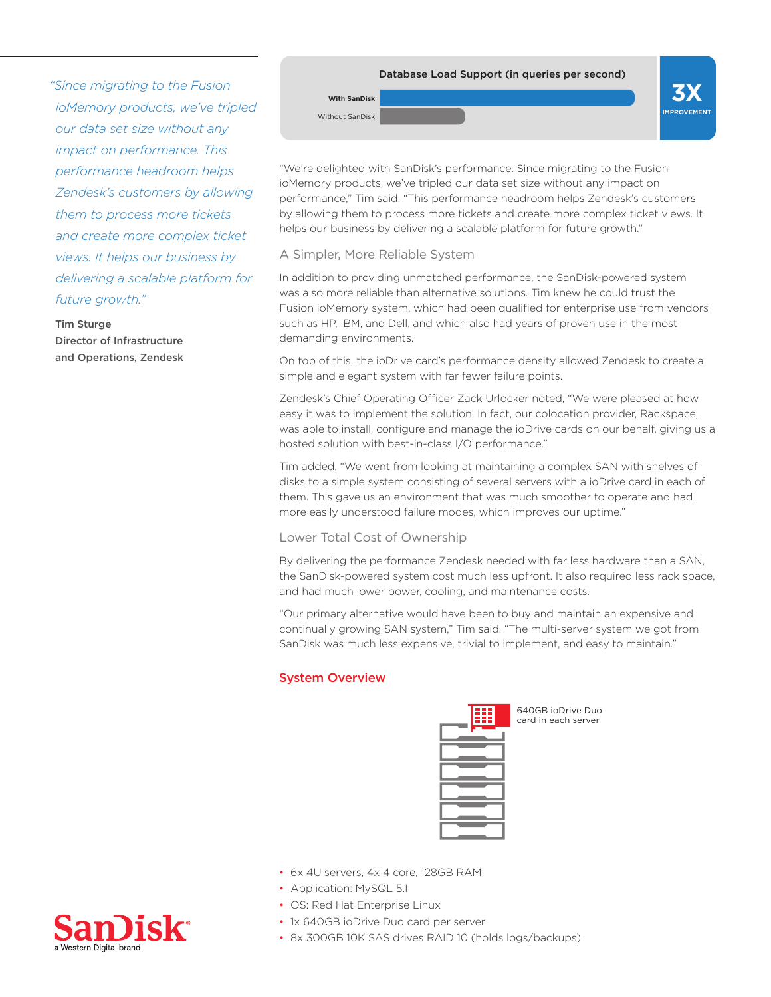*"Since migrating to the Fusion*" *ioMemory* products, we've tripled *<u>our</u> data set size without any impact on performance. This helps headroom performance* **Zendesk's customers by allowing** *them to process more tickets* and create more complex ticket *by business by business by delivering a scalable platform for* future arowth."

#### **Tim Sturge**

Director of Infrastructure and Operations, Zendesk

## Database Load Support (in queries per second) **With SanDisk**

**X3 IMPROVEMENT**

"We're delighted with SanDisk's performance. Since migrating to the Fusion ioMemory products, we've tripled our data set size without any impact on performance," Tim said. "This performance headroom helps Zendesk's customers by allowing them to process more tickets and create more complex ticket views. It helps our business by delivering a scalable platform for future growth."

#### A Simpler, More Reliable System

Without SanDisk

In addition to providing unmatched performance, the SanDisk-powered system was also more reliable than alternative solutions. Tim knew he could trust the Fusion ioMemory system, which had been qualified for enterprise use from vendors such as HP, IBM, and Dell, and which also had years of proven use in the most demanding environments.

On top of this, the ioDrive card's performance density allowed Zendesk to create a simple and elegant system with far fewer failure points.

Zendesk's Chief Operating Officer Zack Urlocker noted, "We were pleased at how easy it was to implement the solution. In fact, our colocation provider, Rackspace, was able to install, configure and manage the ioDrive cards on our behalf, giving us a hosted solution with best-in-class I/O performance."

Tim added, "We went from looking at maintaining a complex SAN with shelves of disks to a simple system consisting of several servers with a ioDrive card in each of them. This gave us an environment that was much smoother to operate and had more easily understood failure modes, which improves our uptime."

## Lower Total Cost of Ownership

• 6x 4U servers, 4x 4 core, 128GB RAM

• 1x 640GB ioDrive Duo card per server

• 8x 300GB 10K SAS drives RAID 10 (holds logs/backups)

• Application: MySQL 5.1 • OS: Red Hat Enterprise Linux

By delivering the performance Zendesk needed with far less hardware than a SAN, the SanDisk-powered system cost much less upfront. It also required less rack space, and had much lower power, cooling, and maintenance costs.

"Our primary alternative would have been to buy and maintain an expensive and continually growing SAN system," Tim said. "The multi-server system we got from SanDisk was much less expensive, trivial to implement, and easy to maintain."

## **System Overview**

| Ē,<br>÷<br>Ξi<br>÷ |
|--------------------|
|                    |
|                    |
|                    |
|                    |
|                    |
|                    |
|                    |

640GB ioDrive Duo card in each server